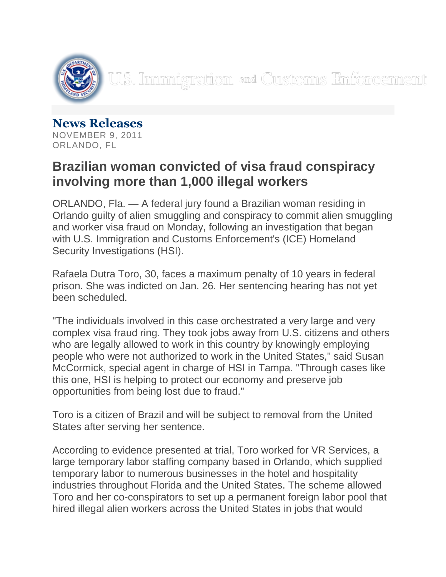

**News Releases** NOVEMBER 9, 2011 ORLANDO, FL

## **Brazilian woman convicted of visa fraud conspiracy involving more than 1,000 illegal workers**

ORLANDO, Fla. — A federal jury found a Brazilian woman residing in Orlando guilty of alien smuggling and conspiracy to commit alien smuggling and worker visa fraud on Monday, following an investigation that began with U.S. Immigration and Customs Enforcement's (ICE) Homeland Security Investigations (HSI).

Rafaela Dutra Toro, 30, faces a maximum penalty of 10 years in federal prison. She was indicted on Jan. 26. Her sentencing hearing has not yet been scheduled.

"The individuals involved in this case orchestrated a very large and very complex visa fraud ring. They took jobs away from U.S. citizens and others who are legally allowed to work in this country by knowingly employing people who were not authorized to work in the United States," said Susan McCormick, special agent in charge of HSI in Tampa. "Through cases like this one, HSI is helping to protect our economy and preserve job opportunities from being lost due to fraud."

Toro is a citizen of Brazil and will be subject to removal from the United States after serving her sentence.

According to evidence presented at trial, Toro worked for VR Services, a large temporary labor staffing company based in Orlando, which supplied temporary labor to numerous businesses in the hotel and hospitality industries throughout Florida and the United States. The scheme allowed Toro and her co-conspirators to set up a permanent foreign labor pool that hired illegal alien workers across the United States in jobs that would